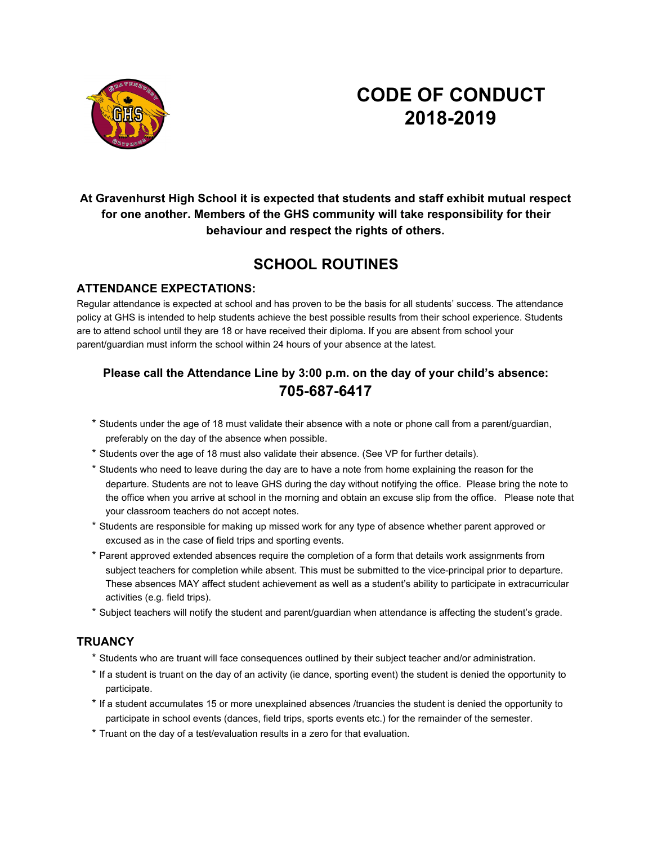

# **CODE OF CONDUCT 2018-2019**

**At Gravenhurst High School it is expected that students and staff exhibit mutual respect for one another. Members of the GHS community will take responsibility for their behaviour and respect the rights of others.**

### **SCHOOL ROUTINES**

#### **ATTENDANCE EXPECTATIONS:**

Regular attendance is expected at school and has proven to be the basis for all students' success. The attendance policy at GHS is intended to help students achieve the best possible results from their school experience. Students are to attend school until they are 18 or have received their diploma. If you are absent from school your parent/guardian must inform the school within 24 hours of your absence at the latest.

### **Please call the Attendance Line by 3:00 p.m. on the day of your child's absence: 705-687-6417**

- \* Students under the age of 18 must validate their absence with a note or phone call from a parent/guardian, preferably on the day of the absence when possible.
- \* Students over the age of 18 must also validate their absence. (See VP for further details).
- \* Students who need to leave during the day are to have a note from home explaining the reason for the departure. Students are not to leave GHS during the day without notifying the office. Please bring the note to the office when you arrive at school in the morning and obtain an excuse slip from the office. Please note that your classroom teachers do not accept notes.
- \* Students are responsible for making up missed work for any type of absence whether parent approved or excused as in the case of field trips and sporting events.
- \* Parent approved extended absences require the completion of a form that details work assignments from subject teachers for completion while absent. This must be submitted to the vice-principal prior to departure. These absences MAY affect student achievement as well as a student's ability to participate in extracurricular activities (e.g. field trips).
- \* Subject teachers will notify the student and parent/guardian when attendance is affecting the student's grade.

#### **TRUANCY**

- \* Students who are truant will face consequences outlined by their subject teacher and/or administration.
- \* If a student is truant on the day of an activity (ie dance, sporting event) the student is denied the opportunity to participate.
- \* If a student accumulates 15 or more unexplained absences /truancies the student is denied the opportunity to participate in school events (dances, field trips, sports events etc.) for the remainder of the semester.
- \* Truant on the day of a test/evaluation results in a zero for that evaluation.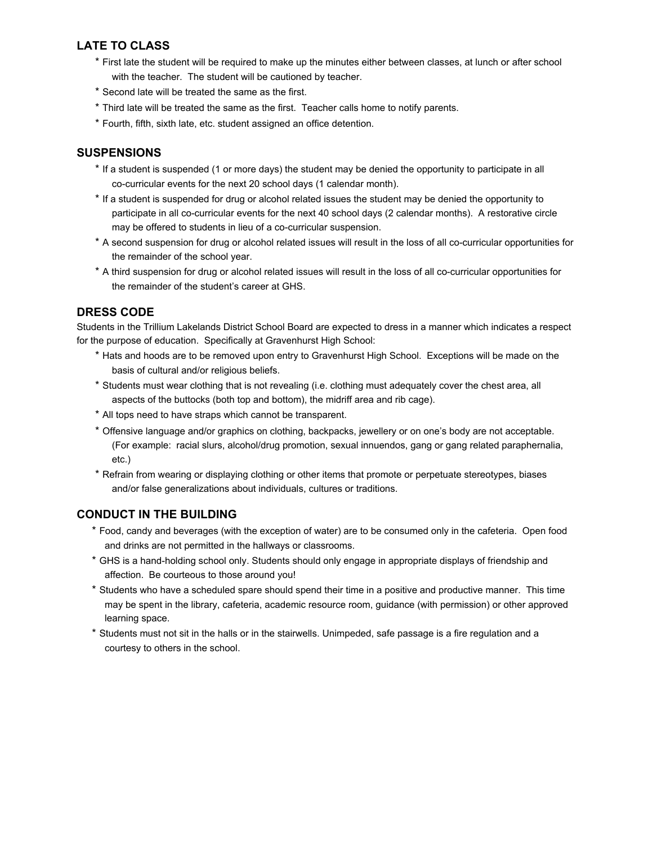#### **LATE TO CLASS**

- \* First late the student will be required to make up the minutes either between classes, at lunch or after school with the teacher. The student will be cautioned by teacher.
- \* Second late will be treated the same as the first.
- \* Third late will be treated the same as the first. Teacher calls home to notify parents.
- \* Fourth, fifth, sixth late, etc. student assigned an office detention.

#### **SUSPENSIONS**

- \* If a student is suspended (1 or more days) the student may be denied the opportunity to participate in all co-curricular events for the next 20 school days (1 calendar month).
- \* If a student is suspended for drug or alcohol related issues the student may be denied the opportunity to participate in all co-curricular events for the next 40 school days (2 calendar months). A restorative circle may be offered to students in lieu of a co-curricular suspension.
- \* A second suspension for drug or alcohol related issues will result in the loss of all co-curricular opportunities for the remainder of the school year.
- \* A third suspension for drug or alcohol related issues will result in the loss of all co-curricular opportunities for the remainder of the student's career at GHS.

#### **DRESS CODE**

Students in the Trillium Lakelands District School Board are expected to dress in a manner which indicates a respect for the purpose of education. Specifically at Gravenhurst High School:

- \* Hats and hoods are to be removed upon entry to Gravenhurst High School. Exceptions will be made on the basis of cultural and/or religious beliefs.
- \* Students must wear clothing that is not revealing (i.e. clothing must adequately cover the chest area, all aspects of the buttocks (both top and bottom), the midriff area and rib cage).
- \* All tops need to have straps which cannot be transparent.
- \* Offensive language and/or graphics on clothing, backpacks, jewellery or on one's body are not acceptable. (For example: racial slurs, alcohol/drug promotion, sexual innuendos, gang or gang related paraphernalia, etc.)
- \* Refrain from wearing or displaying clothing or other items that promote or perpetuate stereotypes, biases and/or false generalizations about individuals, cultures or traditions.

#### **CONDUCT IN THE BUILDING**

- \* Food, candy and beverages (with the exception of water) are to be consumed only in the cafeteria. Open food and drinks are not permitted in the hallways or classrooms.
- \* GHS is a hand-holding school only. Students should only engage in appropriate displays of friendship and affection. Be courteous to those around you!
- \* Students who have a scheduled spare should spend their time in a positive and productive manner. This time may be spent in the library, cafeteria, academic resource room, guidance (with permission) or other approved learning space.
- \* Students must not sit in the halls or in the stairwells. Unimpeded, safe passage is a fire regulation and a courtesy to others in the school.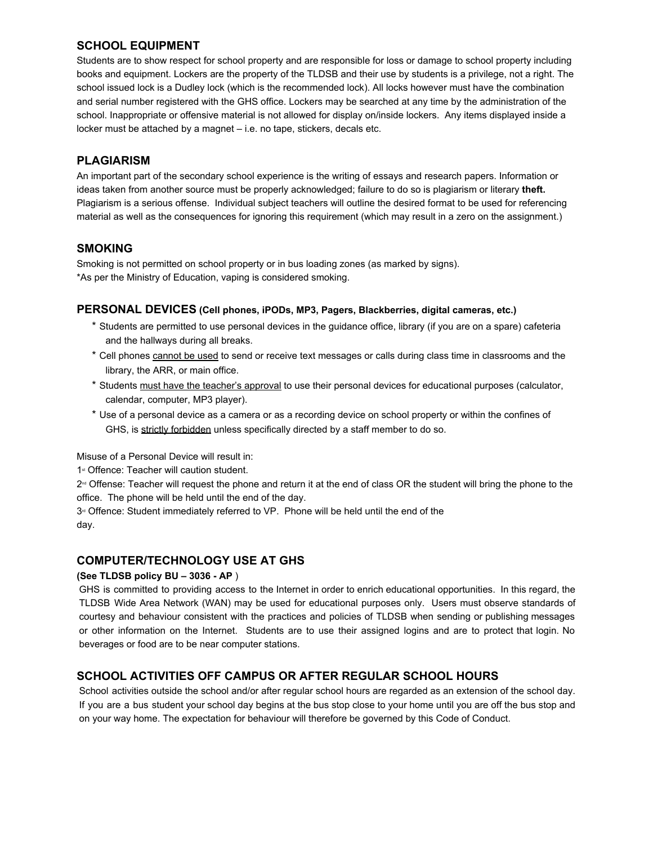#### **SCHOOL EQUIPMENT**

Students are to show respect for school property and are responsible for loss or damage to school property including books and equipment. Lockers are the property of the TLDSB and their use by students is a privilege, not a right. The school issued lock is a Dudley lock (which is the recommended lock). All locks however must have the combination and serial number registered with the GHS office. Lockers may be searched at any time by the administration of the school. Inappropriate or offensive material is not allowed for display on/inside lockers. Any items displayed inside a locker must be attached by a magnet – i.e. no tape, stickers, decals etc.

#### **PLAGIARISM**

An important part of the secondary school experience is the writing of essays and research papers. Information or ideas taken from another source must be properly acknowledged; failure to do so is plagiarism or literary **theft.** Plagiarism is a serious offense. Individual subject teachers will outline the desired format to be used for referencing material as well as the consequences for ignoring this requirement (which may result in a zero on the assignment.)

#### **SMOKING**

Smoking is not permitted on school property or in bus loading zones (as marked by signs). \*As per the Ministry of Education, vaping is considered smoking.

#### **PERSONAL DEVICES (Cell phones, iPODs, MP3, Pagers, Blackberries, digital cameras, etc.)**

- \* Students are permitted to use personal devices in the guidance office, library (if you are on a spare) cafeteria and the hallways during all breaks.
- \* Cell phones cannot be used to send or receive text messages or calls during class time in classrooms and the library, the ARR, or main office.
- \* Students must have the teacher's approval to use their personal devices for educational purposes (calculator, calendar, computer, MP3 player).
- \* Use of a personal device as a camera or as a recording device on school property or within the confines of GHS, is strictly forbidden unless specifically directed by a staff member to do so.

Misuse of a Personal Device will result in:

1<sup>st</sup> Offence: Teacher will caution student.

 $2<sup>nd</sup>$  Offense: Teacher will request the phone and return it at the end of class OR the student will bring the phone to the office. The phone will be held until the end of the day.

3<sup>rd</sup> Offence: Student immediately referred to VP. Phone will be held until the end of the day.

#### **COMPUTER/TECHNOLOGY USE AT GHS**

#### **(See TLDSB policy BU – 3036 - AP** )

GHS is committed to providing access to the Internet in order to enrich educational opportunities. In this regard, the TLDSB Wide Area Network (WAN) may be used for educational purposes only. Users must observe standards of courtesy and behaviour consistent with the practices and policies of TLDSB when sending or publishing messages or other information on the Internet. Students are to use their assigned logins and are to protect that login. No beverages or food are to be near computer stations.

#### **SCHOOL ACTIVITIES OFF CAMPUS OR AFTER REGULAR SCHOOL HOURS**

School activities outside the school and/or after regular school hours are regarded as an extension of the school day. If you are a bus student your school day begins at the bus stop close to your home until you are off the bus stop and on your way home. The expectation for behaviour will therefore be governed by this Code of Conduct.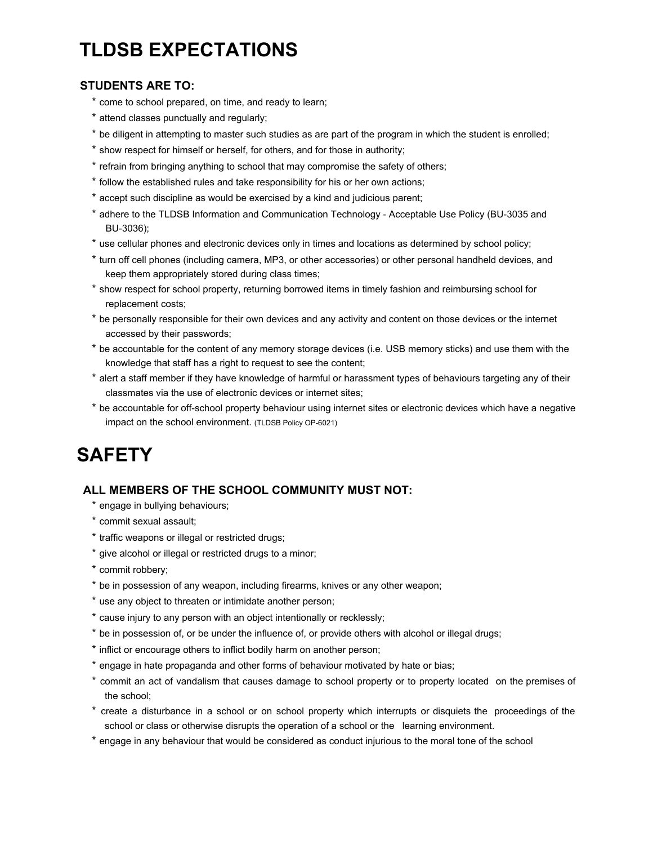# **TLDSB EXPECTATIONS**

#### **STUDENTS ARE TO:**

- \* come to school prepared, on time, and ready to learn;
- \* attend classes punctually and regularly;
- \* be diligent in attempting to master such studies as are part of the program in which the student is enrolled;
- \* show respect for himself or herself, for others, and for those in authority;
- \* refrain from bringing anything to school that may compromise the safety of others;
- \* follow the established rules and take responsibility for his or her own actions;
- \* accept such discipline as would be exercised by a kind and judicious parent;
- \* adhere to the TLDSB Information and Communication Technology Acceptable Use Policy (BU-3035 and BU-3036);
- \* use cellular phones and electronic devices only in times and locations as determined by school policy;
- \* turn off cell phones (including camera, MP3, or other accessories) or other personal handheld devices, and keep them appropriately stored during class times;
- \* show respect for school property, returning borrowed items in timely fashion and reimbursing school for replacement costs;
- \* be personally responsible for their own devices and any activity and content on those devices or the internet accessed by their passwords;
- \* be accountable for the content of any memory storage devices (i.e. USB memory sticks) and use them with the knowledge that staff has a right to request to see the content;
- \* alert a staff member if they have knowledge of harmful or harassment types of behaviours targeting any of their classmates via the use of electronic devices or internet sites;
- \* be accountable for off-school property behaviour using internet sites or electronic devices which have a negative impact on the school environment. (TLDSB Policy OP-6021)

# **SAFETY**

#### **ALL MEMBERS OF THE SCHOOL COMMUNITY MUST NOT:**

- \* engage in bullying behaviours;
- \* commit sexual assault;
- \* traffic weapons or illegal or restricted drugs;
- \* give alcohol or illegal or restricted drugs to a minor;
- \* commit robbery;
- \* be in possession of any weapon, including firearms, knives or any other weapon;
- \* use any object to threaten or intimidate another person;
- \* cause injury to any person with an object intentionally or recklessly;
- \* be in possession of, or be under the influence of, or provide others with alcohol or illegal drugs;
- \* inflict or encourage others to inflict bodily harm on another person;
- \* engage in hate propaganda and other forms of behaviour motivated by hate or bias;
- \* commit an act of vandalism that causes damage to school property or to property located on the premises of the school;
- \* create a disturbance in a school or on school property which interrupts or disquiets the proceedings of the school or class or otherwise disrupts the operation of a school or the learning environment.
- \* engage in any behaviour that would be considered as conduct injurious to the moral tone of the school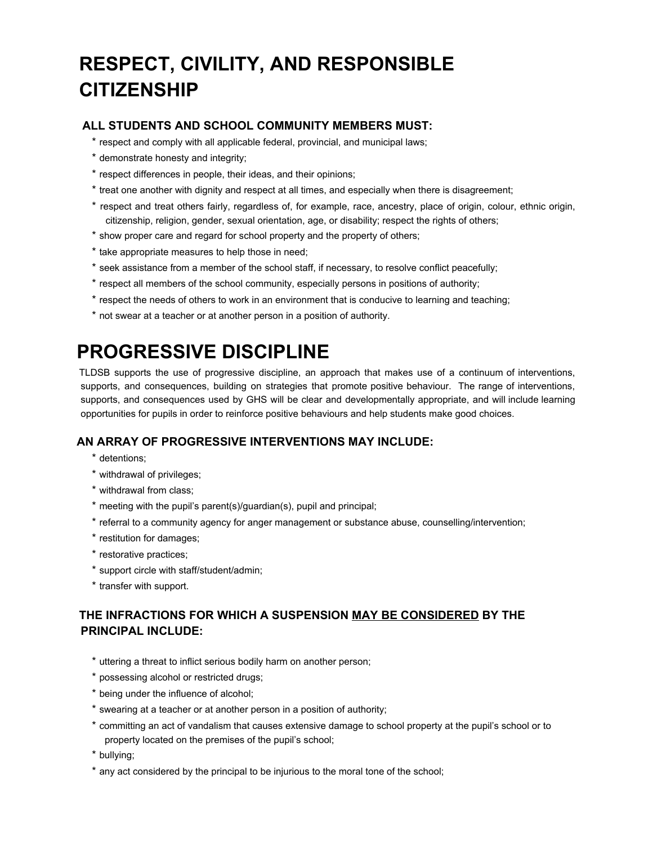# **RESPECT, CIVILITY, AND RESPONSIBLE CITIZENSHIP**

#### **ALL STUDENTS AND SCHOOL COMMUNITY MEMBERS MUST:**

- \* respect and comply with all applicable federal, provincial, and municipal laws;
- \* demonstrate honesty and integrity;
- \* respect differences in people, their ideas, and their opinions;
- \* treat one another with dignity and respect at all times, and especially when there is disagreement;
- \* respect and treat others fairly, regardless of, for example, race, ancestry, place of origin, colour, ethnic origin, citizenship, religion, gender, sexual orientation, age, or disability; respect the rights of others;
- \* show proper care and regard for school property and the property of others;
- \* take appropriate measures to help those in need;
- \* seek assistance from a member of the school staff, if necessary, to resolve conflict peacefully;
- \* respect all members of the school community, especially persons in positions of authority;
- \* respect the needs of others to work in an environment that is conducive to learning and teaching;
- \* not swear at a teacher or at another person in a position of authority.

# **PROGRESSIVE DISCIPLINE**

TLDSB supports the use of progressive discipline, an approach that makes use of a continuum of interventions, supports, and consequences, building on strategies that promote positive behaviour. The range of interventions, supports, and consequences used by GHS will be clear and developmentally appropriate, and will include learning opportunities for pupils in order to reinforce positive behaviours and help students make good choices.

#### **AN ARRAY OF PROGRESSIVE INTERVENTIONS MAY INCLUDE:**

- \* detentions;
- \* withdrawal of privileges;
- \* withdrawal from class;
- \* meeting with the pupil's parent(s)/guardian(s), pupil and principal;
- \* referral to a community agency for anger management or substance abuse, counselling/intervention;
- \* restitution for damages;
- \* restorative practices;
- \* support circle with staff/student/admin;
- \* transfer with support.

### **THE INFRACTIONS FOR WHICH A SUSPENSION MAY BE CONSIDERED BY THE PRINCIPAL INCLUDE:**

- \* uttering a threat to inflict serious bodily harm on another person;
- \* possessing alcohol or restricted drugs;
- \* being under the influence of alcohol;
- \* swearing at a teacher or at another person in a position of authority;
- \* committing an act of vandalism that causes extensive damage to school property at the pupil's school or to property located on the premises of the pupil's school;

\* bullying;

\* any act considered by the principal to be injurious to the moral tone of the school;